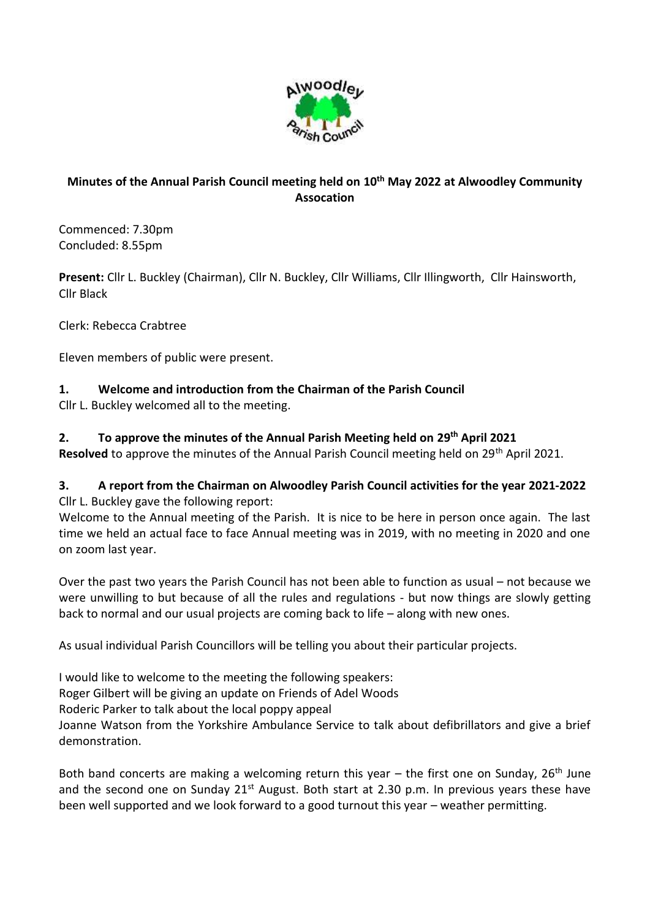

# **Minutes of the Annual Parish Council meeting held on 10th May 2022 at Alwoodley Community Assocation**

Commenced: 7.30pm Concluded: 8.55pm

**Present:** Cllr L. Buckley (Chairman), Cllr N. Buckley, Cllr Williams, Cllr Illingworth, Cllr Hainsworth, Cllr Black

Clerk: Rebecca Crabtree

Eleven members of public were present.

### **1. Welcome and introduction from the Chairman of the Parish Council**

Cllr L. Buckley welcomed all to the meeting.

### **2. To approve the minutes of the Annual Parish Meeting held on 29th April 2021**

**Resolved** to approve the minutes of the Annual Parish Council meeting held on 29<sup>th</sup> April 2021.

### **3. A report from the Chairman on Alwoodley Parish Council activities for the year 2021-2022** Cllr L. Buckley gave the following report:

Welcome to the Annual meeting of the Parish. It is nice to be here in person once again. The last time we held an actual face to face Annual meeting was in 2019, with no meeting in 2020 and one on zoom last year.

Over the past two years the Parish Council has not been able to function as usual – not because we were unwilling to but because of all the rules and regulations - but now things are slowly getting back to normal and our usual projects are coming back to life – along with new ones.

As usual individual Parish Councillors will be telling you about their particular projects.

I would like to welcome to the meeting the following speakers: Roger Gilbert will be giving an update on Friends of Adel Woods Roderic Parker to talk about the local poppy appeal Joanne Watson from the Yorkshire Ambulance Service to talk about defibrillators and give a brief demonstration.

Both band concerts are making a welcoming return this year  $-$  the first one on Sunday, 26<sup>th</sup> June and the second one on Sunday 21<sup>st</sup> August. Both start at 2.30 p.m. In previous years these have been well supported and we look forward to a good turnout this year – weather permitting.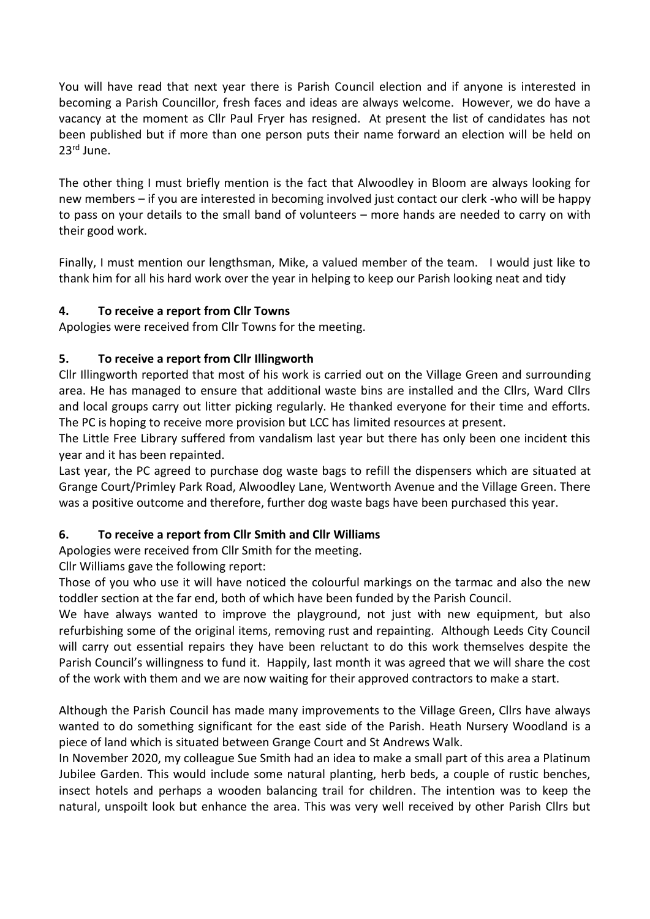You will have read that next year there is Parish Council election and if anyone is interested in becoming a Parish Councillor, fresh faces and ideas are always welcome. However, we do have a vacancy at the moment as Cllr Paul Fryer has resigned. At present the list of candidates has not been published but if more than one person puts their name forward an election will be held on 23rd June.

The other thing I must briefly mention is the fact that Alwoodley in Bloom are always looking for new members – if you are interested in becoming involved just contact our clerk -who will be happy to pass on your details to the small band of volunteers – more hands are needed to carry on with their good work.

Finally, I must mention our lengthsman, Mike, a valued member of the team. I would just like to thank him for all his hard work over the year in helping to keep our Parish looking neat and tidy

## **4. To receive a report from Cllr Towns**

Apologies were received from Cllr Towns for the meeting.

## **5. To receive a report from Cllr Illingworth**

Cllr Illingworth reported that most of his work is carried out on the Village Green and surrounding area. He has managed to ensure that additional waste bins are installed and the Cllrs, Ward Cllrs and local groups carry out litter picking regularly. He thanked everyone for their time and efforts. The PC is hoping to receive more provision but LCC has limited resources at present.

The Little Free Library suffered from vandalism last year but there has only been one incident this year and it has been repainted.

Last year, the PC agreed to purchase dog waste bags to refill the dispensers which are situated at Grange Court/Primley Park Road, Alwoodley Lane, Wentworth Avenue and the Village Green. There was a positive outcome and therefore, further dog waste bags have been purchased this year.

## **6. To receive a report from Cllr Smith and Cllr Williams**

Apologies were received from Cllr Smith for the meeting.

Cllr Williams gave the following report:

Those of you who use it will have noticed the colourful markings on the tarmac and also the new toddler section at the far end, both of which have been funded by the Parish Council.

We have always wanted to improve the playground, not just with new equipment, but also refurbishing some of the original items, removing rust and repainting. Although Leeds City Council will carry out essential repairs they have been reluctant to do this work themselves despite the Parish Council's willingness to fund it. Happily, last month it was agreed that we will share the cost of the work with them and we are now waiting for their approved contractors to make a start.

Although the Parish Council has made many improvements to the Village Green, Cllrs have always wanted to do something significant for the east side of the Parish. Heath Nursery Woodland is a piece of land which is situated between Grange Court and St Andrews Walk.

In November 2020, my colleague Sue Smith had an idea to make a small part of this area a Platinum Jubilee Garden. This would include some natural planting, herb beds, a couple of rustic benches, insect hotels and perhaps a wooden balancing trail for children. The intention was to keep the natural, unspoilt look but enhance the area. This was very well received by other Parish Cllrs but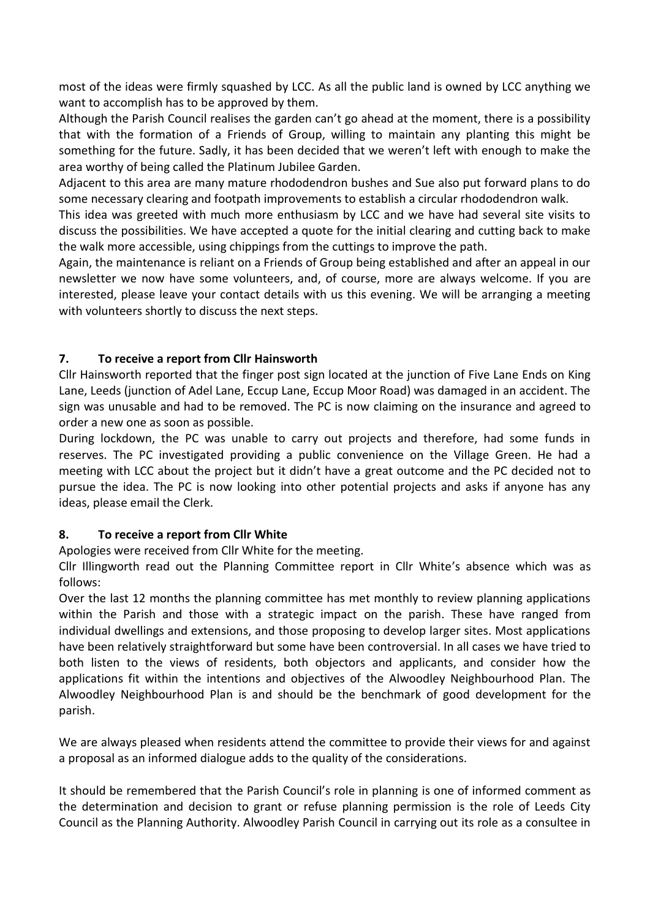most of the ideas were firmly squashed by LCC. As all the public land is owned by LCC anything we want to accomplish has to be approved by them.

Although the Parish Council realises the garden can't go ahead at the moment, there is a possibility that with the formation of a Friends of Group, willing to maintain any planting this might be something for the future. Sadly, it has been decided that we weren't left with enough to make the area worthy of being called the Platinum Jubilee Garden.

Adjacent to this area are many mature rhododendron bushes and Sue also put forward plans to do some necessary clearing and footpath improvements to establish a circular rhododendron walk.

This idea was greeted with much more enthusiasm by LCC and we have had several site visits to discuss the possibilities. We have accepted a quote for the initial clearing and cutting back to make the walk more accessible, using chippings from the cuttings to improve the path.

Again, the maintenance is reliant on a Friends of Group being established and after an appeal in our newsletter we now have some volunteers, and, of course, more are always welcome. If you are interested, please leave your contact details with us this evening. We will be arranging a meeting with volunteers shortly to discuss the next steps.

### **7. To receive a report from Cllr Hainsworth**

Cllr Hainsworth reported that the finger post sign located at the junction of Five Lane Ends on King Lane, Leeds (junction of Adel Lane, Eccup Lane, Eccup Moor Road) was damaged in an accident. The sign was unusable and had to be removed. The PC is now claiming on the insurance and agreed to order a new one as soon as possible.

During lockdown, the PC was unable to carry out projects and therefore, had some funds in reserves. The PC investigated providing a public convenience on the Village Green. He had a meeting with LCC about the project but it didn't have a great outcome and the PC decided not to pursue the idea. The PC is now looking into other potential projects and asks if anyone has any ideas, please email the Clerk.

#### **8. To receive a report from Cllr White**

Apologies were received from Cllr White for the meeting.

Cllr Illingworth read out the Planning Committee report in Cllr White's absence which was as follows:

Over the last 12 months the planning committee has met monthly to review planning applications within the Parish and those with a strategic impact on the parish. These have ranged from individual dwellings and extensions, and those proposing to develop larger sites. Most applications have been relatively straightforward but some have been controversial. In all cases we have tried to both listen to the views of residents, both objectors and applicants, and consider how the applications fit within the intentions and objectives of the Alwoodley Neighbourhood Plan. The Alwoodley Neighbourhood Plan is and should be the benchmark of good development for the parish.

We are always pleased when residents attend the committee to provide their views for and against a proposal as an informed dialogue adds to the quality of the considerations.

It should be remembered that the Parish Council's role in planning is one of informed comment as the determination and decision to grant or refuse planning permission is the role of Leeds City Council as the Planning Authority. Alwoodley Parish Council in carrying out its role as a consultee in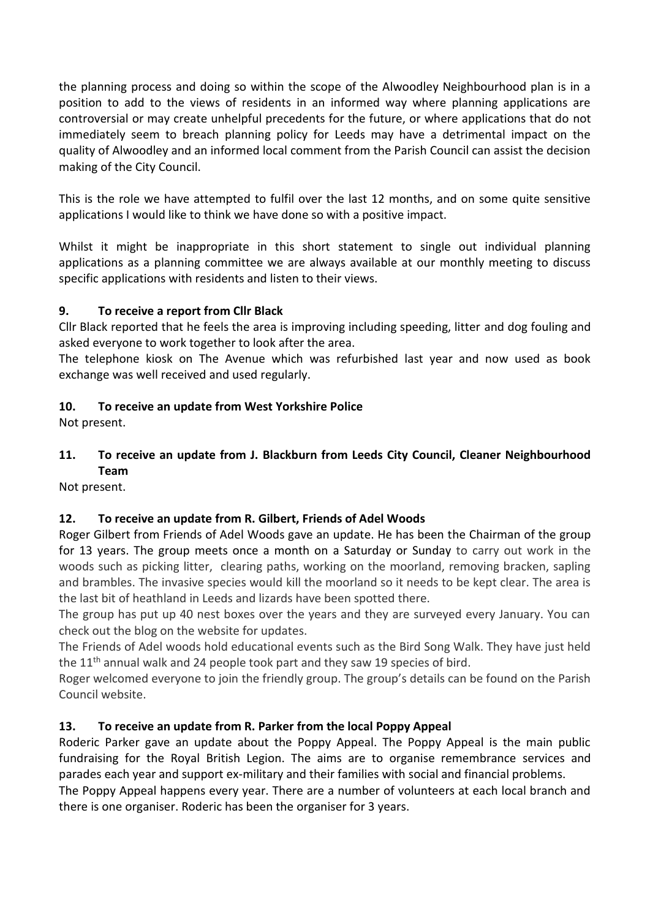the planning process and doing so within the scope of the Alwoodley Neighbourhood plan is in a position to add to the views of residents in an informed way where planning applications are controversial or may create unhelpful precedents for the future, or where applications that do not immediately seem to breach planning policy for Leeds may have a detrimental impact on the quality of Alwoodley and an informed local comment from the Parish Council can assist the decision making of the City Council.

This is the role we have attempted to fulfil over the last 12 months, and on some quite sensitive applications I would like to think we have done so with a positive impact.

Whilst it might be inappropriate in this short statement to single out individual planning applications as a planning committee we are always available at our monthly meeting to discuss specific applications with residents and listen to their views.

## **9. To receive a report from Cllr Black**

Cllr Black reported that he feels the area is improving including speeding, litter and dog fouling and asked everyone to work together to look after the area.

The telephone kiosk on The Avenue which was refurbished last year and now used as book exchange was well received and used regularly.

### **10. To receive an update from West Yorkshire Police**

Not present.

## **11. To receive an update from J. Blackburn from Leeds City Council, Cleaner Neighbourhood Team**

Not present.

## **12. To receive an update from R. Gilbert, Friends of Adel Woods**

Roger Gilbert from Friends of Adel Woods gave an update. He has been the Chairman of the group for 13 years. The group meets once a month on a Saturday or Sunday to carry out work in the woods such as picking litter, clearing paths, working on the moorland, removing bracken, sapling and brambles. The invasive species would kill the moorland so it needs to be kept clear. The area is the last bit of heathland in Leeds and lizards have been spotted there.

The group has put up 40 nest boxes over the years and they are surveyed every January. You can check out the blog on the website for updates.

The Friends of Adel woods hold educational events such as the Bird Song Walk. They have just held the 11th annual walk and 24 people took part and they saw 19 species of bird.

Roger welcomed everyone to join the friendly group. The group's details can be found on the Parish Council website.

## **13. To receive an update from R. Parker from the local Poppy Appeal**

Roderic Parker gave an update about the Poppy Appeal. The Poppy Appeal is the main public fundraising for the Royal British Legion. The aims are to organise remembrance services and parades each year and support ex-military and their families with social and financial problems.

The Poppy Appeal happens every year. There are a number of volunteers at each local branch and there is one organiser. Roderic has been the organiser for 3 years.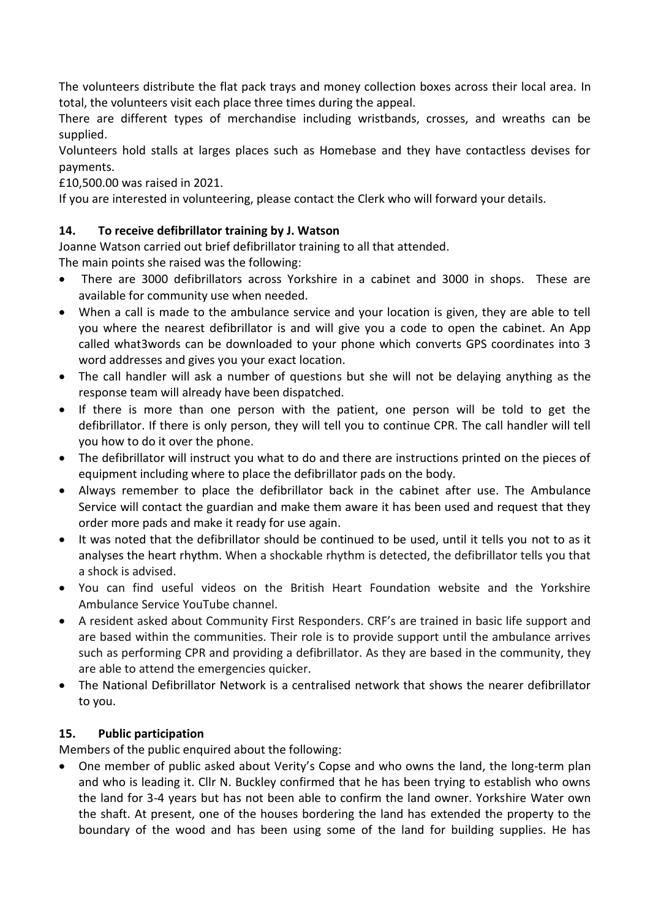The volunteers distribute the flat pack trays and money collection boxes across their local area. In total, the volunteers visit each place three times during the appeal.

There are different types of merchandise including wristbands, crosses, and wreaths can be supplied.

Volunteers hold stalls at larges places such as Homebase and they have contactless devises for payments.

£10,500.00 was raised in 2021.

If you are interested in volunteering, please contact the Clerk who will forward your details.

## **14. To receive defibrillator training by J. Watson**

Joanne Watson carried out brief defibrillator training to all that attended.

The main points she raised was the following:

- There are 3000 defibrillators across Yorkshire in a cabinet and 3000 in shops. These are available for community use when needed.
- When a call is made to the ambulance service and your location is given, they are able to tell you where the nearest defibrillator is and will give you a code to open the cabinet. An App called what3words can be downloaded to your phone which converts GPS coordinates into 3 word addresses and gives you your exact location.
- The call handler will ask a number of questions but she will not be delaying anything as the response team will already have been dispatched.
- If there is more than one person with the patient, one person will be told to get the defibrillator. If there is only person, they will tell you to continue CPR. The call handler will tell you how to do it over the phone.
- The defibrillator will instruct you what to do and there are instructions printed on the pieces of equipment including where to place the defibrillator pads on the body.
- Always remember to place the defibrillator back in the cabinet after use. The Ambulance Service will contact the guardian and make them aware it has been used and request that they order more pads and make it ready for use again.
- It was noted that the defibrillator should be continued to be used, until it tells you not to as it analyses the heart rhythm. When a shockable rhythm is detected, the defibrillator tells you that a shock is advised.
- You can find useful videos on the British Heart Foundation website and the Yorkshire Ambulance Service YouTube channel.
- A resident asked about Community First Responders. CRF's are trained in basic life support and are based within the communities. Their role is to provide support until the ambulance arrives such as performing CPR and providing a defibrillator. As they are based in the community, they are able to attend the emergencies quicker.
- The National Defibrillator Network is a centralised network that shows the nearer defibrillator to you.

#### **15. Public participation**

Members of the public enquired about the following:

 One member of public asked about Verity's Copse and who owns the land, the long-term plan and who is leading it. Cllr N. Buckley confirmed that he has been trying to establish who owns the land for 3-4 years but has not been able to confirm the land owner. Yorkshire Water own the shaft. At present, one of the houses bordering the land has extended the property to the boundary of the wood and has been using some of the land for building supplies. He has